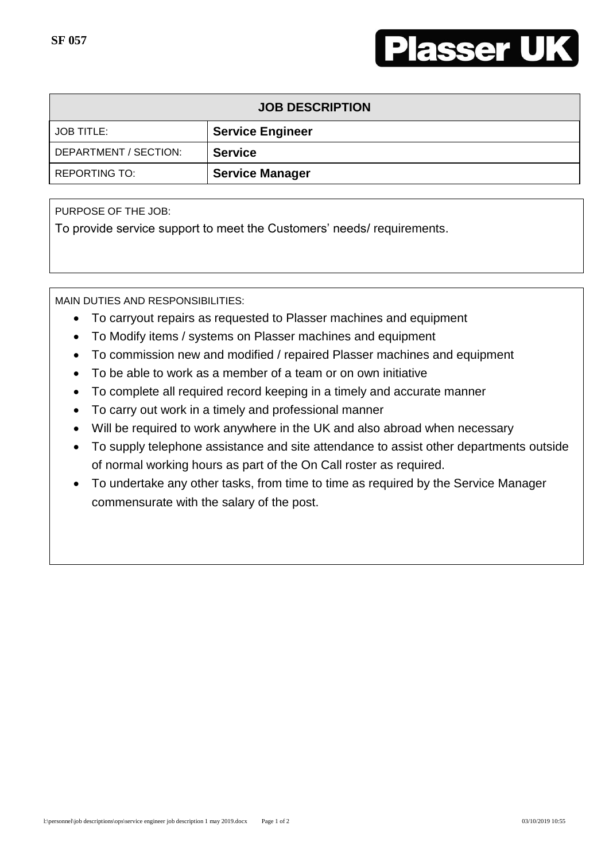

| <b>JOB DESCRIPTION</b> |                         |  |
|------------------------|-------------------------|--|
| <b>JOB TITLE:</b>      | <b>Service Engineer</b> |  |
| DEPARTMENT / SECTION:  | <b>Service</b>          |  |
| <b>REPORTING TO:</b>   | <b>Service Manager</b>  |  |

PURPOSE OF THE JOB:

To provide service support to meet the Customers' needs/ requirements.

MAIN DUTIES AND RESPONSIBILITIES:

- To carryout repairs as requested to Plasser machines and equipment
- To Modify items / systems on Plasser machines and equipment
- To commission new and modified / repaired Plasser machines and equipment
- To be able to work as a member of a team or on own initiative
- To complete all required record keeping in a timely and accurate manner
- To carry out work in a timely and professional manner
- Will be required to work anywhere in the UK and also abroad when necessary
- To supply telephone assistance and site attendance to assist other departments outside of normal working hours as part of the On Call roster as required.
- To undertake any other tasks, from time to time as required by the Service Manager commensurate with the salary of the post.